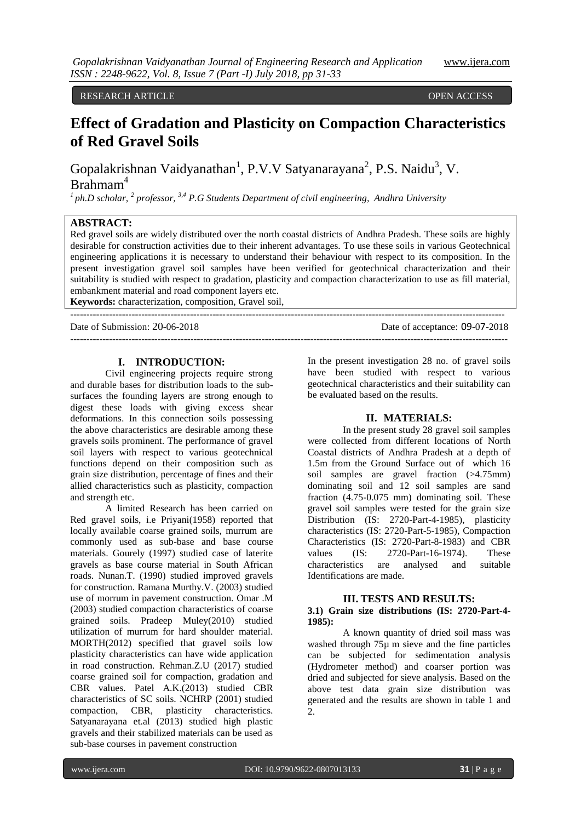RESEARCH ARTICLE OPEN ACCESS

# **Effect of Gradation and Plasticity on Compaction Characteristics of Red Gravel Soils**

Gopalakrishnan Vaidyanathan<sup>1</sup>, P.V.V Satyanarayana<sup>2</sup>, P.S. Naidu<sup>3</sup>, V. Brahmam<sup>4</sup>

*<sup>1</sup>ph.D scholar, <sup>2</sup> professor, 3,4 P.G Students Department of civil engineering, Andhra University*

# **ABSTRACT:**

Red gravel soils are widely distributed over the north coastal districts of Andhra Pradesh. These soils are highly desirable for construction activities due to their inherent advantages. To use these soils in various Geotechnical engineering applications it is necessary to understand their behaviour with respect to its composition. In the present investigation gravel soil samples have been verified for geotechnical characterization and their suitability is studied with respect to gradation, plasticity and compaction characterization to use as fill material, embankment material and road component layers etc.

---------------------------------------------------------------------------------------------------------------------------------------

**Keywords:** characterization, composition, Gravel soil, --------------------------------------------------------------------------------------------------------------------------------------

Date of Submission: 20-06-2018 Date of acceptance: 09-07-2018

## **I. INTRODUCTION:**

Civil engineering projects require strong and durable bases for distribution loads to the subsurfaces the founding layers are strong enough to digest these loads with giving excess shear deformations. In this connection soils possessing the above characteristics are desirable among these gravels soils prominent. The performance of gravel soil layers with respect to various geotechnical functions depend on their composition such as grain size distribution, percentage of fines and their allied characteristics such as plasticity, compaction and strength etc.

A limited Research has been carried on Red gravel soils, i.e Priyani(1958) reported that locally available coarse grained soils, murrum are commonly used as sub-base and base course materials. Gourely (1997) studied case of laterite gravels as base course material in South African roads. Nunan.T. (1990) studied improved gravels for construction. Ramana Murthy.V. (2003) studied use of morrum in pavement construction. Omar .M (2003) studied compaction characteristics of coarse grained soils. Pradeep Muley(2010) studied utilization of murrum for hard shoulder material. MORTH(2012) specified that gravel soils low plasticity characteristics can have wide application in road construction. Rehman.Z.U (2017) studied coarse grained soil for compaction, gradation and CBR values. Patel A.K.(2013) studied CBR characteristics of SC soils. NCHRP (2001) studied compaction, CBR, plasticity characteristics. Satyanarayana et.al (2013) studied high plastic gravels and their stabilized materials can be used as sub-base courses in pavement construction

In the present investigation 28 no. of gravel soils have been studied with respect to various geotechnical characteristics and their suitability can be evaluated based on the results.

#### **II. MATERIALS:**

In the present study 28 gravel soil samples were collected from different locations of North Coastal districts of Andhra Pradesh at a depth of 1.5m from the Ground Surface out of which 16 soil samples are gravel fraction (>4.75mm) dominating soil and 12 soil samples are sand fraction (4.75-0.075 mm) dominating soil. These gravel soil samples were tested for the grain size Distribution (IS: 2720-Part-4-1985), plasticity characteristics (IS: 2720-Part-5-1985), Compaction Characteristics (IS: 2720-Part-8-1983) and CBR values (IS: 2720-Part-16-1974). These characteristics are analysed and suitable Identifications are made.

### **III. TESTS AND RESULTS:**

#### **3.1) Grain size distributions (IS: 2720-Part-4- 1985):**

A known quantity of dried soil mass was washed through 75 $\mu$  m sieve and the fine particles can be subjected for sedimentation analysis (Hydrometer method) and coarser portion was dried and subjected for sieve analysis. Based on the above test data grain size distribution was generated and the results are shown in table 1 and 2.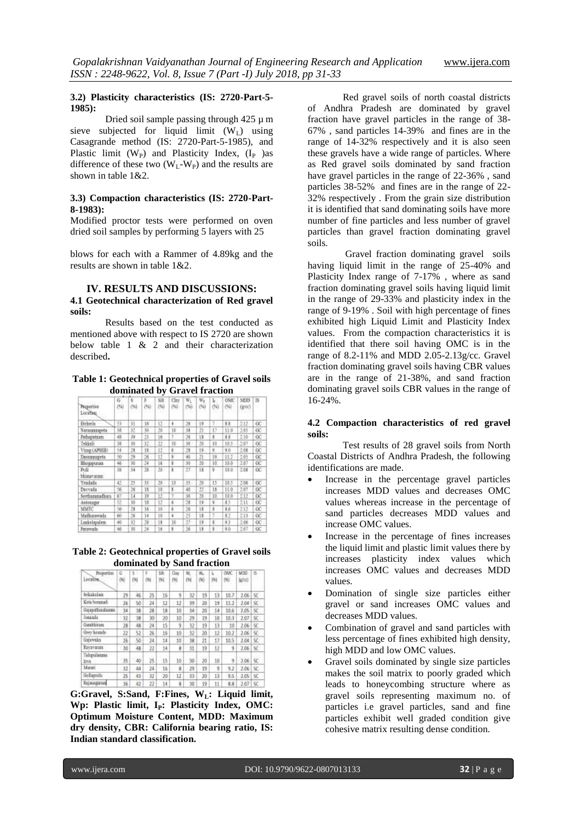### **3.2) Plasticity characteristics (IS: 2720-Part-5- 1985):**

Dried soil sample passing through  $425 \mu$  m sieve subjected for liquid limit  $(W_L)$  using Casagrande method (IS: 2720-Part-5-1985), and Plastic limit  $(W_P)$  and Plasticity Index,  $(I_P)$  as difference of these two  $(W_L-W_P)$  and the results are shown in table 1&2.

# **3.3) Compaction characteristics (IS: 2720-Part-8-1983):**

Modified proctor tests were performed on oven dried soil samples by performing 5 layers with 25

blows for each with a Rammer of 4.89kg and the results are shown in table 1&2.

# **IV. RESULTS AND DISCUSSIONS: 4.1 Geotechnical characterization of Red gravel soils:**

Results based on the test conducted as mentioned above with respect to IS 2720 are shown below table 1 & 2 and their characterization described**.** 

## **Table 1: Geotechnical properties of Gravel soils dominated by Gravel fraction**

| Preperties<br>Locatinu | G<br>ΘW | š<br>54 | E       | 辩<br>1961 | Clay.<br>150 | w.<br>ðir      | $W_T$<br>(%)            | 60        | OMC<br>69 | MDD<br>$(g\infty)$ | fS          |
|------------------------|---------|---------|---------|-----------|--------------|----------------|-------------------------|-----------|-----------|--------------------|-------------|
| Erhels                 | 旅       | 犲       | 16      | 12        | 4            | $\frac{1}{20}$ | 19                      | 9         | 88        | 212                | 0C          |
| Natasausapeta          | 18      | 32      | ĵΰ      | 20        | 10           | 38             | ži                      | 17.       | 11.0      | 2.05               | œ           |
| Pathapataan.           | 48      | 34      | $^{14}$ | 16        | ĭ            | $-36$          | 13                      | 8         | 88        | 2.68               | $_{\alpha}$ |
| Tekkali                | 18      | 外       | 32      | 22        | 10           | 30             | 20                      | 10        | 10.5      | 2.07               | œ           |
| Vizag (APSEB)          | 44      | 28      | 18      | 12        | ×            | $^{28}$        | 19                      | ÿ         | 9.0       | 2.08               | œ           |
| Dassunapeta            | 50      | 29      | 26      | 12        | ü            | 40             | $\overline{\mathbf{2}}$ | 19        | 11.2      | 2.05               | œ           |
| Видрини                | 46      | 38      | 34      | 16        | ı.           | 30             | 25                      | 10        | 10.0      | 2.67               | œ           |
| Pvdi<br>bhistaviosm    | 38      | 34      | 38      | $^{25}$   | ı.           | 27             | 11                      | ÿ         | $10-11$   | 2.08               | œ           |
| Yeadada                | 42      | 73      | 33      | 20        | 33           | 35             | 20                      | 15        | 10.5      | 1.08               | œ           |
| Duvada                 | 场.      | 26      | 18      | 10        | ī            | ag             | 22                      | 18        | 11.0      | 2.07               | œ           |
| Sectionmation          | 67      | 14      | 19      | 12        | T            | 30             | 28                      | 10        | 10.0      | M1                 | $_{\alpha}$ |
| Antonagar              | 52      | 30      | 18      | 12        | ä            | 28             | 19                      | ğ         | 85        | 211                | œ           |
| MMTC                   | 56      | 28      | 16      | 18        | ń.           | $^{26}$        | 18                      | $\dot{x}$ | 16        | 2.12               | œ           |
| Madharawada            | 60      | 26      | 14      | 10        | 4.           | 25             | 18                      |           | Đ         | 13                 | œ           |
| Lankelspalem           | 40      | 32      | Dk      | 18        | 10           | 27             | 14                      | ÿ         | 93        | 2:06               | œ           |
| Panywada               | 46      | 35      | N       | 1ł        | ı            | $^{26}$        | u                       |           | 93        | 2.07               | ũC          |
|                        |         |         |         |           |              |                |                         |           |           |                    |             |

# **Table 2: Geotechnical properties of Gravel soils dominated by Sand fraction**

| <b>Properties</b><br>Locatiba. | 6<br>7N) | s:<br>ÜΜ | F<br>(N) | 58<br>1961 | Clay<br>(%) | W.<br>围 | W.<br>80 | ĦΗ | <b>OWC</b><br>NG | MDO<br>la/cci | $\overline{15}$ |
|--------------------------------|----------|----------|----------|------------|-------------|---------|----------|----|------------------|---------------|-----------------|
| Sciolalas                      | $^{29}$  | 46       | 25       | 16         | 9           | 32      | 19       | 13 | 10.7             | 2.06          | 50              |
| Kata hornmali                  | 26       | 50       | 24       | 12         | 12          | 39      | 20       | 19 | 11.2             | 2.04          | sc              |
| Galaxadias/cons                | 34       | 38       | 28       | 18         | 10          | 34      | 20       | 14 | 10.6             | 7.05          | SC.             |
| Jonaula                        | 32       | 雏        | 36       | 20         | 10          | 29      | 19       | 10 | 10.3             | 2.07          | 57              |
| Garakhirana                    | 28       | 48       | 24       | 15         | 9           | 32      | 19       | 13 | $10 -$           | 2.06          | SC.             |
| Grey hounds                    | 22       | 52       | 26       | 16         | 10          | 32      | 20       | 12 | 10.2             | 2.06          | 50              |
| Gaixwaka                       | 26       | 56       | 24       | 14         | 10          | 38      | 21       | 17 | 10.5             | 2.04          | SC:             |
| <b>RANTOURIE</b>               | 30       | 淋        | 22       | 14         | ž           | 31      | 19       | 12 | 9                | 2.06          | 50              |
| Tahayidammas<br>lova:          | 35       | 40       | 25       | :15        | 1ō          | 30      | 20       | 10 | 5                | 2.06          | sc              |
| Mariei                         | 32       | 84       | zt       | 16         | B.          | 29      | 19       | ġ  | 9.2              | 2.06          | SC.             |
| Gollamski                      | 25       | 43       | 32       | 20         | 12          | 33      | 20       | 13 | 9.5              | 2.05          | SĊ.             |
| Rajanageara                    | 36       | 42       | 28       | 14         | ğ           | 迫       | 19       | 11 | 8.8              | 2.07          | SC.             |

**G:Gravel, S:Sand, F:Fines, WL: Liquid limit, Wp: Plastic limit, IP: Plasticity Index, OMC: Optimum Moisture Content, MDD: Maximum dry density, CBR: California bearing ratio, IS: Indian standard classification.**

Red gravel soils of north coastal districts of Andhra Pradesh are dominated by gravel fraction have gravel particles in the range of 38- 67% , sand particles 14-39% and fines are in the range of 14-32% respectively and it is also seen these gravels have a wide range of particles. Where as Red gravel soils dominated by sand fraction have gravel particles in the range of 22-36% , sand particles 38-52% and fines are in the range of 22- 32% respectively . From the grain size distribution it is identified that sand dominating soils have more number of fine particles and less number of gravel particles than gravel fraction dominating gravel soils.

Gravel fraction dominating gravel soils having liquid limit in the range of 25-40% and Plasticity Index range of 7-17% , where as sand fraction dominating gravel soils having liquid limit in the range of 29-33% and plasticity index in the range of 9-19% . Soil with high percentage of fines exhibited high Liquid Limit and Plasticity Index values. From the compaction characteristics it is identified that there soil having OMC is in the range of 8.2-11% and MDD 2.05-2.13g/cc. Gravel fraction dominating gravel soils having CBR values are in the range of 21-38%, and sand fraction dominating gravel soils CBR values in the range of 16-24%.

# **4.2 Compaction characteristics of red gravel soils:**

Test results of 28 gravel soils from North Coastal Districts of Andhra Pradesh, the following identifications are made.

- Increase in the percentage gravel particles increases MDD values and decreases OMC values whereas increase in the percentage of sand particles decreases MDD values and increase OMC values.
- Increase in the percentage of fines increases the liquid limit and plastic limit values there by increases plasticity index values which increases OMC values and decreases MDD values.
- Domination of single size particles either gravel or sand increases OMC values and decreases MDD values.
- Combination of gravel and sand particles with less percentage of fines exhibited high density, high MDD and low OMC values.
- Gravel soils dominated by single size particles makes the soil matrix to poorly graded which leads to honeycombing structure where as gravel soils representing maximum no. of particles i.e gravel particles, sand and fine particles exhibit well graded condition give cohesive matrix resulting dense condition.